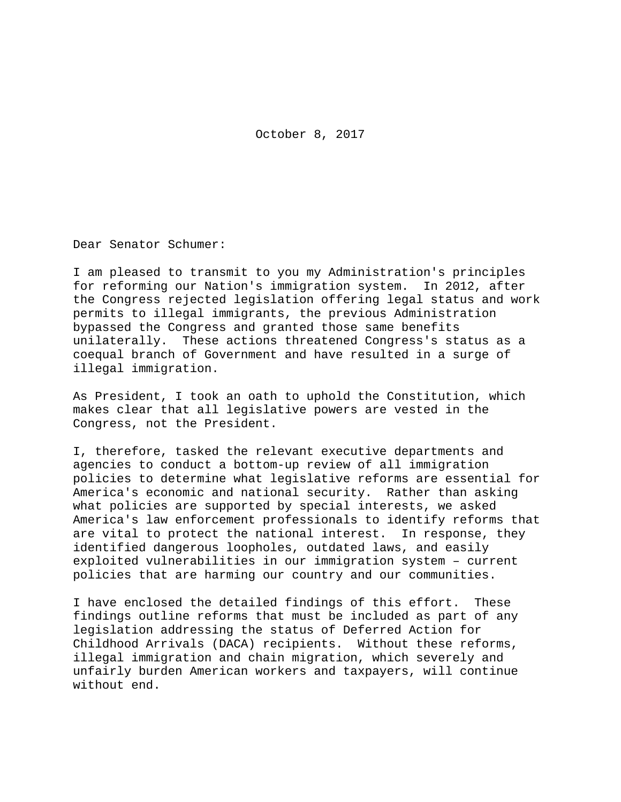October 8, 2017

Dear Senator Schumer:

I am pleased to transmit to you my Administration's principles for reforming our Nation's immigration system. In 2012, after the Congress rejected legislation offering legal status and work permits to illegal immigrants, the previous Administration bypassed the Congress and granted those same benefits unilaterally. These actions threatened Congress's status as a coequal branch of Government and have resulted in a surge of illegal immigration.

As President, I took an oath to uphold the Constitution, which makes clear that all legislative powers are vested in the Congress, not the President.

I, therefore, tasked the relevant executive departments and agencies to conduct a bottom-up review of all immigration policies to determine what legislative reforms are essential for America's economic and national security. Rather than asking what policies are supported by special interests, we asked America's law enforcement professionals to identify reforms that are vital to protect the national interest. In response, they identified dangerous loopholes, outdated laws, and easily exploited vulnerabilities in our immigration system – current policies that are harming our country and our communities.

I have enclosed the detailed findings of this effort. These findings outline reforms that must be included as part of any legislation addressing the status of Deferred Action for Childhood Arrivals (DACA) recipients. Without these reforms, illegal immigration and chain migration, which severely and unfairly burden American workers and taxpayers, will continue without end.